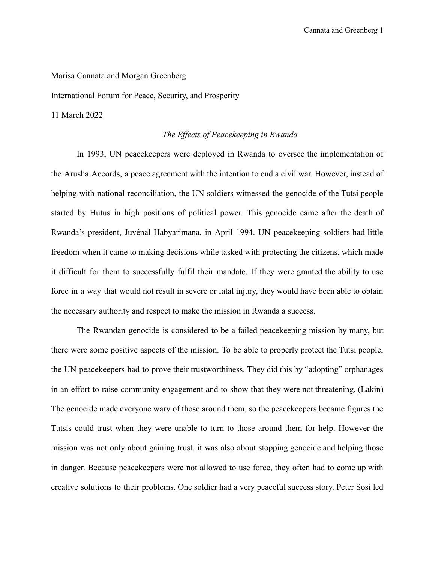Marisa Cannata and Morgan Greenberg

International Forum for Peace, Security, and Prosperity

11 March 2022

## *The Effects of Peacekeeping in Rwanda*

In 1993, UN peacekeepers were deployed in Rwanda to oversee the implementation of the Arusha Accords, a peace agreement with the intention to end a civil war. However, instead of helping with national reconciliation, the UN soldiers witnessed the genocide of the Tutsi people started by Hutus in high positions of political power. This genocide came after the death of Rwanda's president, Juvénal Habyarimana, in April 1994. UN peacekeeping soldiers had little freedom when it came to making decisions while tasked with protecting the citizens, which made it difficult for them to successfully fulfil their mandate. If they were granted the ability to use force in a way that would not result in severe or fatal injury, they would have been able to obtain the necessary authority and respect to make the mission in Rwanda a success.

The Rwandan genocide is considered to be a failed peacekeeping mission by many, but there were some positive aspects of the mission. To be able to properly protect the Tutsi people, the UN peacekeepers had to prove their trustworthiness. They did this by "adopting" orphanages in an effort to raise community engagement and to show that they were not threatening. (Lakin) The genocide made everyone wary of those around them, so the peacekeepers became figures the Tutsis could trust when they were unable to turn to those around them for help. However the mission was not only about gaining trust, it was also about stopping genocide and helping those in danger. Because peacekeepers were not allowed to use force, they often had to come up with creative solutions to their problems. One soldier had a very peaceful success story. Peter Sosi led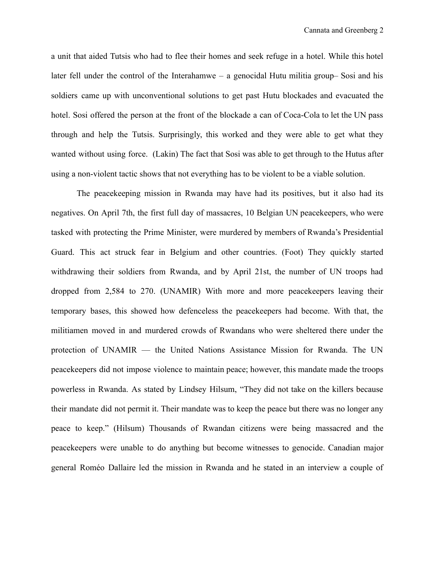a unit that aided Tutsis who had to flee their homes and seek refuge in a hotel. While this hotel later fell under the control of the Interahamwe – a genocidal Hutu militia group– Sosi and his soldiers came up with unconventional solutions to get past Hutu blockades and evacuated the hotel. Sosi offered the person at the front of the blockade a can of Coca-Cola to let the UN pass through and help the Tutsis. Surprisingly, this worked and they were able to get what they wanted without using force. (Lakin) The fact that Sosi was able to get through to the Hutus after using a non-violent tactic shows that not everything has to be violent to be a viable solution.

The peacekeeping mission in Rwanda may have had its positives, but it also had its negatives. On April 7th, the first full day of massacres, 10 Belgian UN peacekeepers, who were tasked with protecting the Prime Minister, were murdered by members of Rwanda's Presidential Guard. This act struck fear in Belgium and other countries. (Foot) They quickly started withdrawing their soldiers from Rwanda, and by April 21st, the number of UN troops had dropped from 2,584 to 270. (UNAMIR) With more and more peacekeepers leaving their temporary bases, this showed how defenceless the peacekeepers had become. With that, the militiamen moved in and murdered crowds of Rwandans who were sheltered there under the protection of UNAMIR — the United Nations Assistance Mission for Rwanda. The UN peacekeepers did not impose violence to maintain peace; however, this mandate made the troops powerless in Rwanda. As stated by Lindsey Hilsum, "They did not take on the killers because their mandate did not permit it. Their mandate was to keep the peace but there was no longer any peace to keep." (Hilsum) Thousands of Rwandan citizens were being massacred and the peacekeepers were unable to do anything but become witnesses to genocide. Canadian major general Roméo Dallaire led the mission in Rwanda and he stated in an interview a couple of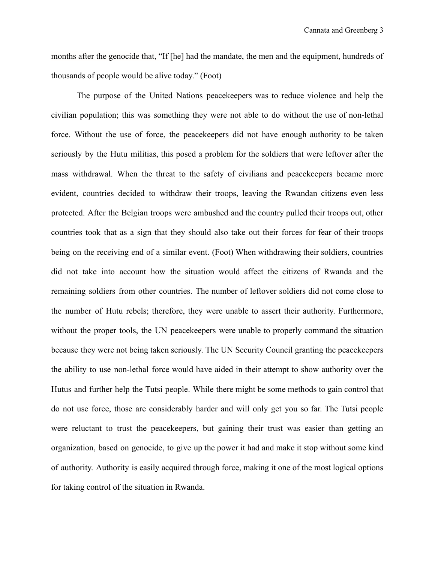months after the genocide that, "If [he] had the mandate, the men and the equipment, hundreds of thousands of people would be alive today." (Foot)

The purpose of the United Nations peacekeepers was to reduce violence and help the civilian population; this was something they were not able to do without the use of non-lethal force. Without the use of force, the peacekeepers did not have enough authority to be taken seriously by the Hutu militias, this posed a problem for the soldiers that were leftover after the mass withdrawal. When the threat to the safety of civilians and peacekeepers became more evident, countries decided to withdraw their troops, leaving the Rwandan citizens even less protected. After the Belgian troops were ambushed and the country pulled their troops out, other countries took that as a sign that they should also take out their forces for fear of their troops being on the receiving end of a similar event. (Foot) When withdrawing their soldiers, countries did not take into account how the situation would affect the citizens of Rwanda and the remaining soldiers from other countries. The number of leftover soldiers did not come close to the number of Hutu rebels; therefore, they were unable to assert their authority. Furthermore, without the proper tools, the UN peacekeepers were unable to properly command the situation because they were not being taken seriously. The UN Security Council granting the peacekeepers the ability to use non-lethal force would have aided in their attempt to show authority over the Hutus and further help the Tutsi people. While there might be some methods to gain control that do not use force, those are considerably harder and will only get you so far. The Tutsi people were reluctant to trust the peacekeepers, but gaining their trust was easier than getting an organization, based on genocide, to give up the power it had and make it stop without some kind of authority. Authority is easily acquired through force, making it one of the most logical options for taking control of the situation in Rwanda.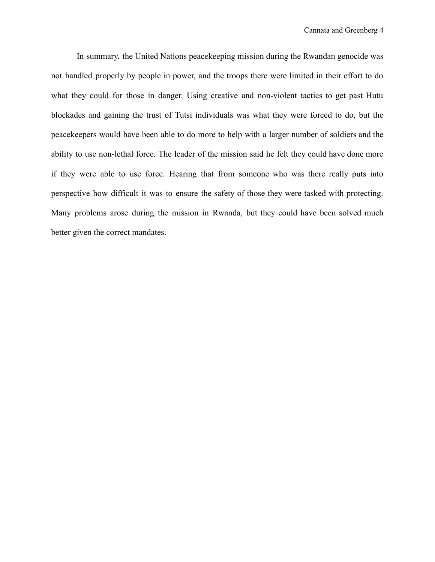In summary, the United Nations peacekeeping mission during the Rwandan genocide was not handled properly by people in power, and the troops there were limited in their effort to do what they could for those in danger. Using creative and non-violent tactics to get past Hutu blockades and gaining the trust of Tutsi individuals was what they were forced to do, but the peacekeepers would have been able to do more to help with a larger number of soldiers and the ability to use non-lethal force. The leader of the mission said he felt they could have done more if they were able to use force. Hearing that from someone who was there really puts into perspective how difficult it was to ensure the safety of those they were tasked with protecting. Many problems arose during the mission in Rwanda, but they could have been solved much better given the correct mandates.